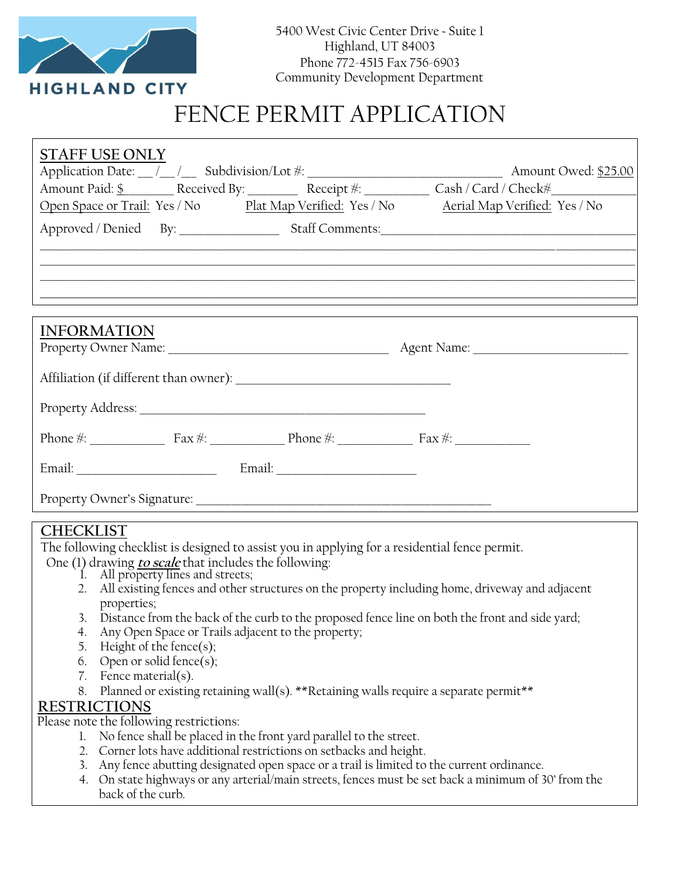

# FENCE PERMIT APPLICATION

| <b>STAFF USE ONLY</b> |                                                                                                                                                                                                                                |
|-----------------------|--------------------------------------------------------------------------------------------------------------------------------------------------------------------------------------------------------------------------------|
|                       |                                                                                                                                                                                                                                |
|                       | Amount Paid: \$ Received By: Receipt #: Cash / Card / Check = Cash / Card / Check = Cash / Card / Check = Cash / Card / Check = Cash / Card / Check = Cash / Card / Check = Cash / Card / Check = Cash / Card / Check = Cash / |
|                       | Open Space or Trail: Yes / No Plat Map Verified: Yes / No Aerial Map Verified: Yes / No                                                                                                                                        |
|                       |                                                                                                                                                                                                                                |
|                       |                                                                                                                                                                                                                                |
|                       |                                                                                                                                                                                                                                |
|                       |                                                                                                                                                                                                                                |
|                       |                                                                                                                                                                                                                                |
| <b>INFORMATION</b>    |                                                                                                                                                                                                                                |
|                       |                                                                                                                                                                                                                                |
|                       |                                                                                                                                                                                                                                |
|                       |                                                                                                                                                                                                                                |
|                       |                                                                                                                                                                                                                                |
|                       |                                                                                                                                                                                                                                |
|                       |                                                                                                                                                                                                                                |

#### **CHECKLIST**

The following checklist is designed to assist you in applying for a residential fence permit.

- One (1) drawing **to scale** that includes the following:
	- 1. All property lines and streets;
	- 2. All existing fences and other structures on the property including home, driveway and adjacent properties;
	- 3. Distance from the back of the curb to the proposed fence line on both the front and side yard;
	- 4. Any Open Space or Trails adjacent to the property;
	- 5. Height of the fence(s);
	- 6. Open or solid fence(s);
	- 7. Fence material(s).
	- 8. Planned or existing retaining wall(s). \*\*Retaining walls require a separate permit\*\*

### **RESTRICTIONS**

Please note the following restrictions:

- 1. No fence shall be placed in the front yard parallel to the street.
- 2. Corner lots have additional restrictions on setbacks and height.
- 3. Any fence abutting designated open space or a trail is limited to the current ordinance.
- 4. On state highways or any arterial/main streets, fences must be set back a minimum of 30' from the back of the curb.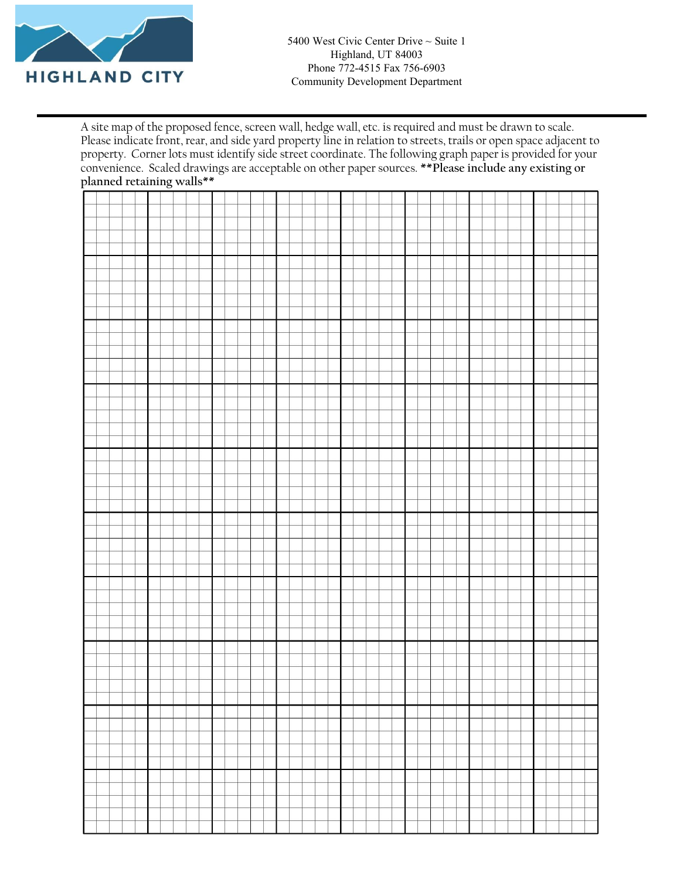

A site map of the proposed fence, screen wall, hedge wall, etc. is required and must be drawn to scale. Please indicate front, rear, and side yard property line in relation to streets, trails or open space adjacent to property. Corner lots must identify side street coordinate. The following graph paper is provided for your convenience. Scaled drawings are acceptable on other paper sources. **\*\*Please include any existing or planned retaining walls\*\***

|  |  |  | $\circ$ |  |   |  |  |  |  |  |  |  |  |  |  |  |  |  |  |  |  |  |  |  |  |  |  |  |  |  |
|--|--|--|---------|--|---|--|--|--|--|--|--|--|--|--|--|--|--|--|--|--|--|--|--|--|--|--|--|--|--|--|
|  |  |  |         |  |   |  |  |  |  |  |  |  |  |  |  |  |  |  |  |  |  |  |  |  |  |  |  |  |  |  |
|  |  |  |         |  |   |  |  |  |  |  |  |  |  |  |  |  |  |  |  |  |  |  |  |  |  |  |  |  |  |  |
|  |  |  |         |  |   |  |  |  |  |  |  |  |  |  |  |  |  |  |  |  |  |  |  |  |  |  |  |  |  |  |
|  |  |  |         |  |   |  |  |  |  |  |  |  |  |  |  |  |  |  |  |  |  |  |  |  |  |  |  |  |  |  |
|  |  |  |         |  |   |  |  |  |  |  |  |  |  |  |  |  |  |  |  |  |  |  |  |  |  |  |  |  |  |  |
|  |  |  |         |  |   |  |  |  |  |  |  |  |  |  |  |  |  |  |  |  |  |  |  |  |  |  |  |  |  |  |
|  |  |  |         |  |   |  |  |  |  |  |  |  |  |  |  |  |  |  |  |  |  |  |  |  |  |  |  |  |  |  |
|  |  |  |         |  |   |  |  |  |  |  |  |  |  |  |  |  |  |  |  |  |  |  |  |  |  |  |  |  |  |  |
|  |  |  |         |  |   |  |  |  |  |  |  |  |  |  |  |  |  |  |  |  |  |  |  |  |  |  |  |  |  |  |
|  |  |  |         |  |   |  |  |  |  |  |  |  |  |  |  |  |  |  |  |  |  |  |  |  |  |  |  |  |  |  |
|  |  |  |         |  |   |  |  |  |  |  |  |  |  |  |  |  |  |  |  |  |  |  |  |  |  |  |  |  |  |  |
|  |  |  |         |  |   |  |  |  |  |  |  |  |  |  |  |  |  |  |  |  |  |  |  |  |  |  |  |  |  |  |
|  |  |  |         |  |   |  |  |  |  |  |  |  |  |  |  |  |  |  |  |  |  |  |  |  |  |  |  |  |  |  |
|  |  |  |         |  |   |  |  |  |  |  |  |  |  |  |  |  |  |  |  |  |  |  |  |  |  |  |  |  |  |  |
|  |  |  |         |  |   |  |  |  |  |  |  |  |  |  |  |  |  |  |  |  |  |  |  |  |  |  |  |  |  |  |
|  |  |  |         |  |   |  |  |  |  |  |  |  |  |  |  |  |  |  |  |  |  |  |  |  |  |  |  |  |  |  |
|  |  |  |         |  |   |  |  |  |  |  |  |  |  |  |  |  |  |  |  |  |  |  |  |  |  |  |  |  |  |  |
|  |  |  |         |  |   |  |  |  |  |  |  |  |  |  |  |  |  |  |  |  |  |  |  |  |  |  |  |  |  |  |
|  |  |  |         |  |   |  |  |  |  |  |  |  |  |  |  |  |  |  |  |  |  |  |  |  |  |  |  |  |  |  |
|  |  |  |         |  |   |  |  |  |  |  |  |  |  |  |  |  |  |  |  |  |  |  |  |  |  |  |  |  |  |  |
|  |  |  |         |  |   |  |  |  |  |  |  |  |  |  |  |  |  |  |  |  |  |  |  |  |  |  |  |  |  |  |
|  |  |  |         |  |   |  |  |  |  |  |  |  |  |  |  |  |  |  |  |  |  |  |  |  |  |  |  |  |  |  |
|  |  |  |         |  |   |  |  |  |  |  |  |  |  |  |  |  |  |  |  |  |  |  |  |  |  |  |  |  |  |  |
|  |  |  |         |  |   |  |  |  |  |  |  |  |  |  |  |  |  |  |  |  |  |  |  |  |  |  |  |  |  |  |
|  |  |  |         |  |   |  |  |  |  |  |  |  |  |  |  |  |  |  |  |  |  |  |  |  |  |  |  |  |  |  |
|  |  |  |         |  |   |  |  |  |  |  |  |  |  |  |  |  |  |  |  |  |  |  |  |  |  |  |  |  |  |  |
|  |  |  |         |  |   |  |  |  |  |  |  |  |  |  |  |  |  |  |  |  |  |  |  |  |  |  |  |  |  |  |
|  |  |  |         |  |   |  |  |  |  |  |  |  |  |  |  |  |  |  |  |  |  |  |  |  |  |  |  |  |  |  |
|  |  |  |         |  |   |  |  |  |  |  |  |  |  |  |  |  |  |  |  |  |  |  |  |  |  |  |  |  |  |  |
|  |  |  |         |  |   |  |  |  |  |  |  |  |  |  |  |  |  |  |  |  |  |  |  |  |  |  |  |  |  |  |
|  |  |  |         |  |   |  |  |  |  |  |  |  |  |  |  |  |  |  |  |  |  |  |  |  |  |  |  |  |  |  |
|  |  |  |         |  |   |  |  |  |  |  |  |  |  |  |  |  |  |  |  |  |  |  |  |  |  |  |  |  |  |  |
|  |  |  |         |  |   |  |  |  |  |  |  |  |  |  |  |  |  |  |  |  |  |  |  |  |  |  |  |  |  |  |
|  |  |  |         |  |   |  |  |  |  |  |  |  |  |  |  |  |  |  |  |  |  |  |  |  |  |  |  |  |  |  |
|  |  |  |         |  |   |  |  |  |  |  |  |  |  |  |  |  |  |  |  |  |  |  |  |  |  |  |  |  |  |  |
|  |  |  |         |  |   |  |  |  |  |  |  |  |  |  |  |  |  |  |  |  |  |  |  |  |  |  |  |  |  |  |
|  |  |  |         |  |   |  |  |  |  |  |  |  |  |  |  |  |  |  |  |  |  |  |  |  |  |  |  |  |  |  |
|  |  |  |         |  |   |  |  |  |  |  |  |  |  |  |  |  |  |  |  |  |  |  |  |  |  |  |  |  |  |  |
|  |  |  |         |  |   |  |  |  |  |  |  |  |  |  |  |  |  |  |  |  |  |  |  |  |  |  |  |  |  |  |
|  |  |  |         |  |   |  |  |  |  |  |  |  |  |  |  |  |  |  |  |  |  |  |  |  |  |  |  |  |  |  |
|  |  |  |         |  |   |  |  |  |  |  |  |  |  |  |  |  |  |  |  |  |  |  |  |  |  |  |  |  |  |  |
|  |  |  |         |  |   |  |  |  |  |  |  |  |  |  |  |  |  |  |  |  |  |  |  |  |  |  |  |  |  |  |
|  |  |  |         |  |   |  |  |  |  |  |  |  |  |  |  |  |  |  |  |  |  |  |  |  |  |  |  |  |  |  |
|  |  |  |         |  |   |  |  |  |  |  |  |  |  |  |  |  |  |  |  |  |  |  |  |  |  |  |  |  |  |  |
|  |  |  |         |  |   |  |  |  |  |  |  |  |  |  |  |  |  |  |  |  |  |  |  |  |  |  |  |  |  |  |
|  |  |  |         |  |   |  |  |  |  |  |  |  |  |  |  |  |  |  |  |  |  |  |  |  |  |  |  |  |  |  |
|  |  |  |         |  |   |  |  |  |  |  |  |  |  |  |  |  |  |  |  |  |  |  |  |  |  |  |  |  |  |  |
|  |  |  |         |  |   |  |  |  |  |  |  |  |  |  |  |  |  |  |  |  |  |  |  |  |  |  |  |  |  |  |
|  |  |  |         |  |   |  |  |  |  |  |  |  |  |  |  |  |  |  |  |  |  |  |  |  |  |  |  |  |  |  |
|  |  |  |         |  |   |  |  |  |  |  |  |  |  |  |  |  |  |  |  |  |  |  |  |  |  |  |  |  |  |  |
|  |  |  |         |  |   |  |  |  |  |  |  |  |  |  |  |  |  |  |  |  |  |  |  |  |  |  |  |  |  |  |
|  |  |  |         |  |   |  |  |  |  |  |  |  |  |  |  |  |  |  |  |  |  |  |  |  |  |  |  |  |  |  |
|  |  |  |         |  |   |  |  |  |  |  |  |  |  |  |  |  |  |  |  |  |  |  |  |  |  |  |  |  |  |  |
|  |  |  |         |  |   |  |  |  |  |  |  |  |  |  |  |  |  |  |  |  |  |  |  |  |  |  |  |  |  |  |
|  |  |  |         |  |   |  |  |  |  |  |  |  |  |  |  |  |  |  |  |  |  |  |  |  |  |  |  |  |  |  |
|  |  |  |         |  |   |  |  |  |  |  |  |  |  |  |  |  |  |  |  |  |  |  |  |  |  |  |  |  |  |  |
|  |  |  |         |  |   |  |  |  |  |  |  |  |  |  |  |  |  |  |  |  |  |  |  |  |  |  |  |  |  |  |
|  |  |  |         |  |   |  |  |  |  |  |  |  |  |  |  |  |  |  |  |  |  |  |  |  |  |  |  |  |  |  |
|  |  |  |         |  |   |  |  |  |  |  |  |  |  |  |  |  |  |  |  |  |  |  |  |  |  |  |  |  |  |  |
|  |  |  |         |  |   |  |  |  |  |  |  |  |  |  |  |  |  |  |  |  |  |  |  |  |  |  |  |  |  |  |
|  |  |  |         |  |   |  |  |  |  |  |  |  |  |  |  |  |  |  |  |  |  |  |  |  |  |  |  |  |  |  |
|  |  |  |         |  |   |  |  |  |  |  |  |  |  |  |  |  |  |  |  |  |  |  |  |  |  |  |  |  |  |  |
|  |  |  |         |  |   |  |  |  |  |  |  |  |  |  |  |  |  |  |  |  |  |  |  |  |  |  |  |  |  |  |
|  |  |  |         |  |   |  |  |  |  |  |  |  |  |  |  |  |  |  |  |  |  |  |  |  |  |  |  |  |  |  |
|  |  |  |         |  |   |  |  |  |  |  |  |  |  |  |  |  |  |  |  |  |  |  |  |  |  |  |  |  |  |  |
|  |  |  |         |  |   |  |  |  |  |  |  |  |  |  |  |  |  |  |  |  |  |  |  |  |  |  |  |  |  |  |
|  |  |  |         |  |   |  |  |  |  |  |  |  |  |  |  |  |  |  |  |  |  |  |  |  |  |  |  |  |  |  |
|  |  |  |         |  |   |  |  |  |  |  |  |  |  |  |  |  |  |  |  |  |  |  |  |  |  |  |  |  |  |  |
|  |  |  |         |  |   |  |  |  |  |  |  |  |  |  |  |  |  |  |  |  |  |  |  |  |  |  |  |  |  |  |
|  |  |  |         |  |   |  |  |  |  |  |  |  |  |  |  |  |  |  |  |  |  |  |  |  |  |  |  |  |  |  |
|  |  |  |         |  |   |  |  |  |  |  |  |  |  |  |  |  |  |  |  |  |  |  |  |  |  |  |  |  |  |  |
|  |  |  |         |  |   |  |  |  |  |  |  |  |  |  |  |  |  |  |  |  |  |  |  |  |  |  |  |  |  |  |
|  |  |  |         |  |   |  |  |  |  |  |  |  |  |  |  |  |  |  |  |  |  |  |  |  |  |  |  |  |  |  |
|  |  |  |         |  |   |  |  |  |  |  |  |  |  |  |  |  |  |  |  |  |  |  |  |  |  |  |  |  |  |  |
|  |  |  |         |  |   |  |  |  |  |  |  |  |  |  |  |  |  |  |  |  |  |  |  |  |  |  |  |  |  |  |
|  |  |  |         |  |   |  |  |  |  |  |  |  |  |  |  |  |  |  |  |  |  |  |  |  |  |  |  |  |  |  |
|  |  |  |         |  |   |  |  |  |  |  |  |  |  |  |  |  |  |  |  |  |  |  |  |  |  |  |  |  |  |  |
|  |  |  |         |  |   |  |  |  |  |  |  |  |  |  |  |  |  |  |  |  |  |  |  |  |  |  |  |  |  |  |
|  |  |  |         |  |   |  |  |  |  |  |  |  |  |  |  |  |  |  |  |  |  |  |  |  |  |  |  |  |  |  |
|  |  |  |         |  | t |  |  |  |  |  |  |  |  |  |  |  |  |  |  |  |  |  |  |  |  |  |  |  |  |  |
|  |  |  |         |  |   |  |  |  |  |  |  |  |  |  |  |  |  |  |  |  |  |  |  |  |  |  |  |  |  |  |
|  |  |  |         |  |   |  |  |  |  |  |  |  |  |  |  |  |  |  |  |  |  |  |  |  |  |  |  |  |  |  |